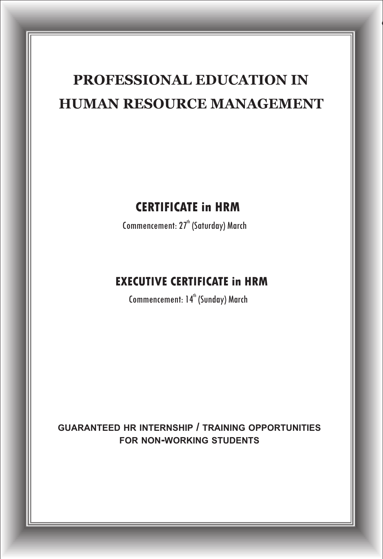# **PROFESSIONAL EDUCATION IN HUMAN RESOURCE MANAGEMENT**

### **CERTIFICATE in HRM**

Commencement: 27<sup>th</sup> (Saturday) March

## **EXECUTIVE CERTIFICATE in HRM**

Commencement: 14<sup>th</sup> (Sunday) March

**GUARANTEED HR INTERNSHIP / TRAINING OPPORTUNITIES FOR NON-WORKING STUDENTS**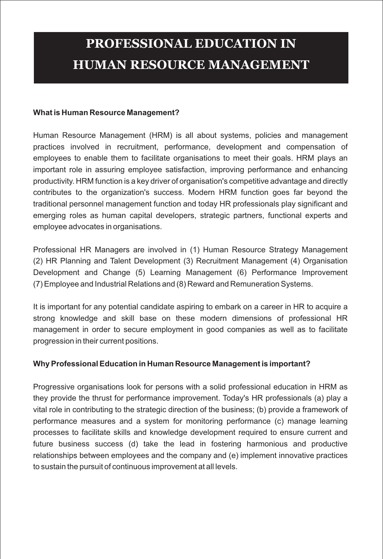# **HUMAN RESOURCE MANAGEMENT PROFESSIONAL EDUCATION IN**

#### **What is Human Resource Management?**

Human Resource Management (HRM) is all about systems, policies and management practices involved in recruitment, performance, development and compensation of employees to enable them to facilitate organisations to meet their goals. HRM plays an important role in assuring employee satisfaction, improving performance and enhancing productivity. HRM function is a key driver of organisation's competitive advantage and directly contributes to the organization's success. Modern HRM function goes far beyond the traditional personnel management function and today HR professionals play significant and emerging roles as human capital developers, strategic partners, functional experts and employee advocates in organisations.

Professional HR Managers are involved in (1) Human Resource Strategy Management (2) HR Planning and Talent Development (3) Recruitment Management (4) Organisation Development and Change (5) Learning Management (6) Performance Improvement (7) Employee and Industrial Relations and (8) Reward and Remuneration Systems.

It is important for any potential candidate aspiring to embark on a career in HR to acquire a strong knowledge and skill base on these modern dimensions of professional HR management in order to secure employment in good companies as well as to facilitate progression in their current positions.

#### **Why Professional Education in Human Resource Management is important?**

Progressive organisations look for persons with a solid professional education in HRM as they provide the thrust for performance improvement. Today's HR professionals (a) play a vital role in contributing to the strategic direction of the business; (b) provide a framework of performance measures and a system for monitoring performance (c) manage learning processes to facilitate skills and knowledge development required to ensure current and future business success (d) take the lead in fostering harmonious and productive relationships between employees and the company and (e) implement innovative practices to sustain the pursuit of continuous improvement at all levels.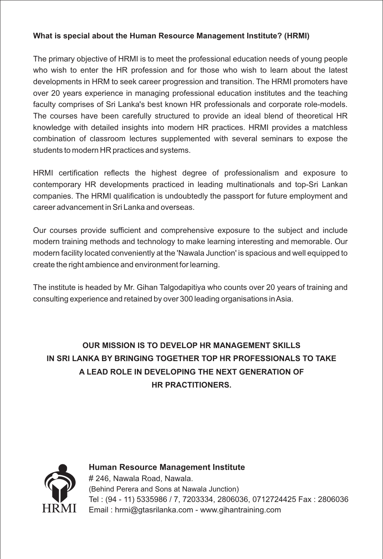#### **What is special about the Human Resource Management Institute? (HRMI)**

The primary objective of HRMI is to meet the professional education needs of young people who wish to enter the HR profession and for those who wish to learn about the latest developments in HRM to seek career progression and transition. The HRMI promoters have over 20 years experience in managing professional education institutes and the teaching faculty comprises of Sri Lanka's best known HR professionals and corporate role-models. The courses have been carefully structured to provide an ideal blend of theoretical HR knowledge with detailed insights into modern HR practices. HRMI provides a matchless combination of classroom lectures supplemented with several seminars to expose the students to modern HR practices and systems.

HRMI certification reflects the highest degree of professionalism and exposure to contemporary HR developments practiced in leading multinationals and top-Sri Lankan companies. The HRMI qualification is undoubtedly the passport for future employment and career advancement in Sri Lanka and overseas.

Our courses provide sufficient and comprehensive exposure to the subject and include modern training methods and technology to make learning interesting and memorable. Our modern facility located conveniently at the 'Nawala Junction' is spacious and well equipped to create the right ambience and environment for learning.

The institute is headed by Mr. Gihan Talgodapitiya who counts over 20 years of training and consulting experience and retained by over 300 leading organisations in Asia.

#### **OUR MISSION IS TO DEVELOP HR MANAGEMENT SKILLS IN SRI LANKA BY BRINGING TOGETHER TOP HR PROFESSIONALS TO TAKE A LEAD ROLE IN DEVELOPING THE NEXT GENERATION OF HR PRACTITIONERS.**



**Human Resource Management Institute** # 246, Nawala Road, Nawala. (Behind Perera and Sons at Nawala Junction) Tel : (94 - 11) 5335986 / 7, 7203334, 2806036, 0712724425 Fax : 2806036 Email : hrmi@gtasrilanka.com - www.gihantraining.com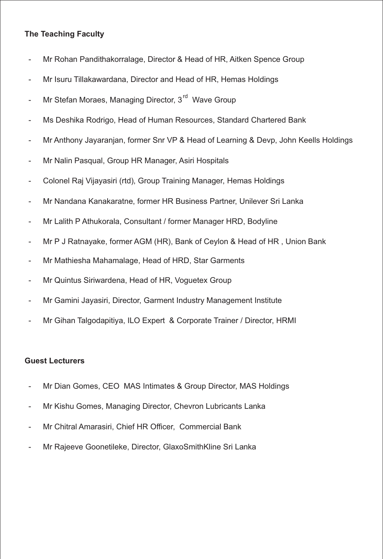#### **The Teaching Faculty**

- Mr Rohan Pandithakorralage, Director & Head of HR, Aitken Spence Group
- Mr Isuru Tillakawardana, Director and Head of HR, Hemas Holdings -
- Mr Stefan Moraes, Managing Director, 3<sup>rd</sup> Wave Group -
- Ms Deshika Rodrigo, Head of Human Resources, Standard Chartered Bank -
- Mr Anthony Jayaranjan, former Snr VP & Head of Learning & Devp, John Keells Holdings -
- Mr Nalin Pasqual, Group HR Manager, Asiri Hospitals -
- Colonel Raj Vijayasiri (rtd), Group Training Manager, Hemas Holdings -
- Mr Nandana Kanakaratne, former HR Business Partner, Unilever Sri Lanka -
- Mr Lalith P Athukorala, Consultant / former Manager HRD, Bodyline -
- Mr P J Ratnayake, former AGM (HR), Bank of Ceylon & Head of HR , Union Bank -
- Mr Mathiesha Mahamalage, Head of HRD, Star Garments
- Mr Quintus Siriwardena, Head of HR, Voguetex Group -
- Mr Gamini Jayasiri, Director, Garment Industry Management Institute -
- Mr Gihan Talgodapitiya, ILO Expert & Corporate Trainer / Director, HRMI -

#### **Guest Lecturers**

- Mr Dian Gomes, CEO MAS Intimates & Group Director, MAS Holdings -
- Mr Kishu Gomes, Managing Director, Chevron Lubricants Lanka -
- Mr Chitral Amarasiri, Chief HR Officer, Commercial Bank -
- Mr Rajeeve Goonetileke, Director, GlaxoSmithKline Sri Lanka -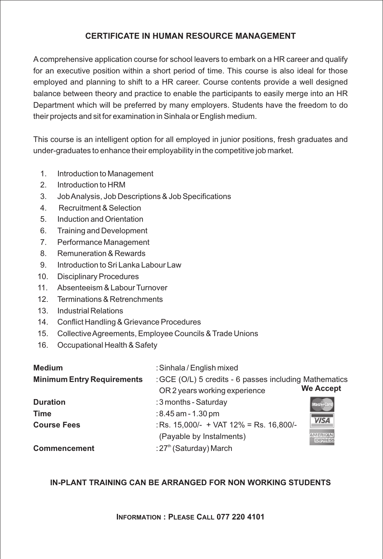#### **CERTIFICATE IN HUMAN RESOURCE MANAGEMENT**

Acomprehensive application course for school leavers to embark on a HR career and qualify for an executive position within a short period of time. This course is also ideal for those employed and planning to shift to a HR career. Course contents provide a well designed balance between theory and practice to enable the participants to easily merge into an HR Department which will be preferred by many employers. Students have the freedom to do their projects and sit for examination in Sinhala or English medium.

This course is an intelligent option for all employed in junior positions, fresh graduates and under-graduates to enhance their employability in the competitive job market.

- 1. Introduction to Management
- 2. Introduction to HRM
- 3. Job Analysis, Job Descriptions & Job Specifications
- 4. Recruitment & Selection
- 5. Induction and Orientation
- 6. Training and Development
- 7. Performance Management
- 8. Remuneration & Rewards
- 9. Introduction to Sri Lanka Labour Law
- 10. Disciplinary Procedures
- 11. Absenteeism & Labour Turnover
- 12. Terminations & Retrenchments
- 13. Industrial Relations
- 14. Conflict Handling & Grievance Procedures
- 15. Collective Agreements, Employee Councils & Trade Unions
- 16. Occupational Health & Safety

| <b>Medium</b>                     | : Sinhala / English mixed                                  |                  |
|-----------------------------------|------------------------------------------------------------|------------------|
| <b>Minimum Entry Requirements</b> | : GCE (O/L) 5 credits - 6 passes including Mathematics     |                  |
|                                   | OR 2 years working experience                              | <b>We Accept</b> |
| <b>Duration</b>                   | : 3 months - Saturday                                      |                  |
| Time                              | $:8.45$ am - 1.30 pm                                       |                  |
| <b>Course Fees</b>                | : Rs. $15,000/- + \text{VAT } 12\% = \text{Rs. } 16,800/-$ | <b>VISA</b>      |
|                                   | (Payable by Instalments)                                   | <b>EXPRESS</b>   |
| <b>Commencement</b>               | :27 <sup>th</sup> (Saturday) March                         |                  |

#### **IN-PLANT TRAINING CAN BE ARRANGED FOR NON WORKING STUDENTS**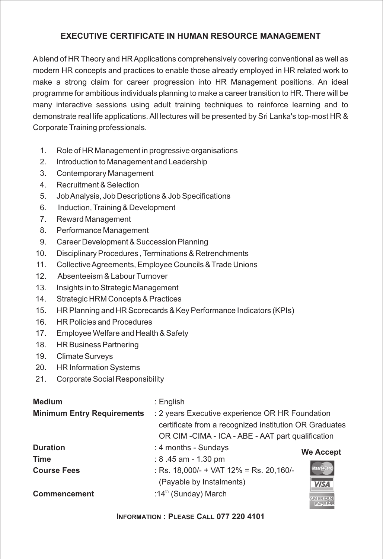#### **EXECUTIVE CERTIFICATE IN HUMAN RESOURCE MANAGEMENT**

Ablend of HR Theory and HR Applications comprehensively covering conventional as well as modern HR concepts and practices to enable those already employed in HR related work to make a strong claim for career progression into HR Management positions. An ideal programme for ambitious individuals planning to make a career transition to HR. There will be many interactive sessions using adult training techniques to reinforce learning and to demonstrate real life applications. All lectures will be presented by Sri Lanka's top-most HR & Corporate Training professionals.

- 1. Role of HR Management in progressive organisations
- 2. Introduction to Management and Leadership
- 3. Contemporary Management
- 4. Recruitment & Selection
- 5. Job Analysis, Job Descriptions & Job Specifications
- 6. Induction, Training & Development
- 7. Reward Management
- 8. Performance Management
- 9. Career Development & Succession Planning
- 10. Disciplinary Procedures , Terminations & Retrenchments
- 11. Collective Agreements, Employee Councils & Trade Unions
- 12. Absenteeism & Labour Turnover
- 13. Insights in to Strategic Management
- 14. Strategic HRM Concepts & Practices
- 15. HR Planning and HR Scorecards & Key Performance Indicators (KPIs)
- 16. HR Policies and Procedures
- 17. Employee Welfare and Health & Safety
- 18. HR Business Partnering
- 19. Climate Surveys
- 20. HR Information Systems
- 21. Corporate Social Responsibility

| <b>Medium</b>                     | : English                                              |                   |  |
|-----------------------------------|--------------------------------------------------------|-------------------|--|
| <b>Minimum Entry Requirements</b> | : 2 years Executive experience OR HR Foundation        |                   |  |
|                                   | certificate from a recognized institution OR Graduates |                   |  |
|                                   | OR CIM - CIMA - ICA - ABE - AAT part qualification     |                   |  |
| <b>Duration</b>                   | : 4 months - Sundays                                   | <b>We Accept</b>  |  |
| Time                              | : $8.45$ am - $1.30$ pm                                |                   |  |
| <b>Course Fees</b>                | : Rs. $18,000/- +$ VAT $12\% =$ Rs. 20,160/-           | <b>MasterCard</b> |  |
|                                   | (Payable by Instalments)                               | <b>VISA</b>       |  |
| <b>Commencement</b>               | :14 <sup>th</sup> (Sunday) March                       | <b>EXPRESS</b>    |  |

**INFORMATION : PLEASE CALL 077 220 4101**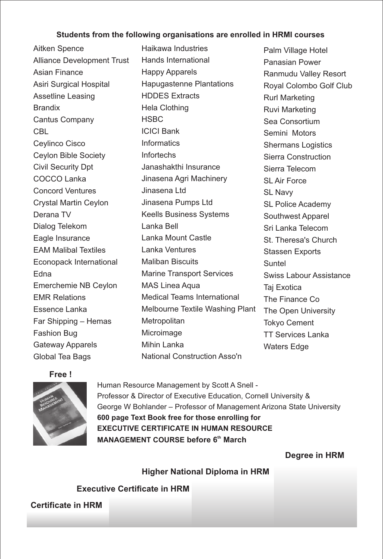#### **Students from the following organisations are enrolled in HRMI courses**

Aitken Spence Alliance Development Trust Asian Finance Asiri Surgical Hospital Assetline Leasing **Brandix** Cantus Company **CBL** Ceylinco Cisco Ceylon Bible Society Civil Security Dpt COCCO Lanka Concord Ventures Crystal Martin Ceylon Derana TV Dialog Telekom Eagle Insurance EAM Malibal Textiles Econopack International Edna Emerchemie NB Ceylon EMR Relations Essence Lanka Far Shipping – Hemas Fashion Bug Gateway Apparels Global Tea Bags

Haikawa Industries Hands International Happy Apparels Hapugastenne Plantations HDDES Extracts Hela Clothing **HSBC** ICICI Bank **Informatics** Infortechs Janashakthi Insurance Jinasena Agri Machinery Jinasena Ltd Jinasena Pumps Ltd Keells Business Systems Lanka Bell Lanka Mount Castle Lanka Ventures Maliban Biscuits Marine Transport Services MAS Linea Aqua Medical Teams International Melbourne Textile Washing Plant **Metropolitan** Microimage Mihin Lanka National Construction Asso'n

Palm Village Hotel Panasian Power Ranmudu Valley Resort Royal Colombo Golf Club Rurl Marketing Ruvi Marketing Sea Consortium Semini Motors Shermans Logistics Sierra Construction Sierra Telecom SL Air Force SI Navy SL Police Academy Southwest Apparel Sri Lanka Telecom St. Theresa's Church Stassen Exports Suntel Swiss Labour Assistance Taj Exotica The Finance Co The Open University Tokyo Cement TT Services Lanka Waters Edge

**Free !**



Human Resource Management by Scott A Snell - Professor & Director of Executive Education, Cornell University & George W Bohlander – Professor of Management Arizona State University **600 page Text Book free for those enrolling for EXECUTIVE CERTIFICATE IN HUMAN RESOURCE MANAGEMENT COURSE before 6<sup>th</sup> March** 

**Degree in HRM** 

**Higher National Diploma in HRM**

**Executive Certificate in HRM**

**Certificate in HRM**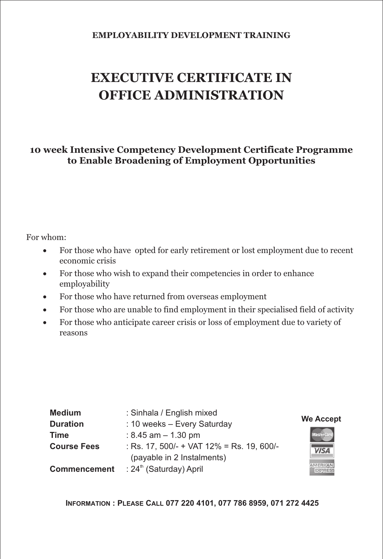#### **EMPLOYABILITY DEVELOPMENT TRAINING**

# **EXECUTIVE CERTIFICATE IN OFFICE ADMINISTRATION**

**10 week Intensive Competency Development Certificate Programme to Enable Broadening of Employment Opportunities**

#### For whom:

For those who have opted for early retirement or lost employment due to recent economic crisis

For those who wish to expand their competencies in order to enhance employability

For those who have returned from overseas employment

For those who are unable to find employment in their specialised field of activity

For those who anticipate career crisis or loss of employment due to variety of reasons

| <b>Medium</b>       | : Sinhala / English mixed                 |                  |
|---------------------|-------------------------------------------|------------------|
| <b>Duration</b>     | : 10 weeks - Every Saturday               | <b>We Accept</b> |
| Time                | : 8.45 am $-$ 1.30 pm                     | Master Card      |
| <b>Course Fees</b>  | : Rs. 17, 500/- + VAT 12% = Rs. 19, 600/- | <b>VISA</b>      |
|                     | (payable in 2 Instalments)                |                  |
| <b>Commencement</b> | : 24 <sup>th</sup> (Saturday) April       |                  |

**INFORMATION : PLEASE CALL 077 220 4101, 077 786 8959, 071 272 4425**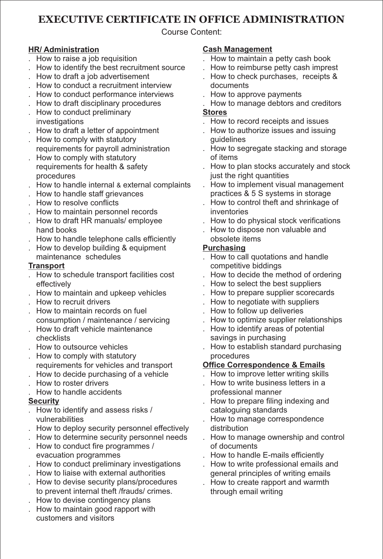#### **EXECUTIVE CERTIFICATE IN OFFICE ADMINISTRATION**

Course Content:

#### **HR/ Administration**

- . How to raise a job requisition
- . How to identify the best recruitment source
- . How to draft a job advertisement
- . How to conduct a recruitment interview
- . How to conduct performance interviews
- . How to draft disciplinary procedures
- . How to conduct preliminary investigations
- . How to draft a letter of appointment
- . How to comply with statutory requirements for payroll administration
- . How to comply with statutory requirements for health & safety procedures
- . How to handle internal & external complaints
- . How to handle staff grievances
- . How to resolve conflicts
- . How to maintain personnel records
- . How to draft HR manuals/ employee hand books
- . How to handle telephone calls efficiently
- . How to develop building & equipment
- maintenance schedules

#### **Transport**

- . How to schedule transport facilities cost effectively
- . How to maintain and upkeep vehicles
- . How to recruit drivers
- . How to maintain records on fuel consumption / maintenance / servicing
- . How to draft vehicle maintenance checklists
- . How to outsource vehicles
- . How to comply with statutory
- requirements for vehicles and transport . How to decide purchasing of a vehicle
- . How to roster drivers
- . How to handle accidents

#### **Security**

- . How to identify and assess risks / vulnerabilities
- . How to deploy security personnel effectively
- . How to determine security personnel needs
- . How to conduct fire programmes / evacuation programmes
- . How to conduct preliminary investigations
- . How to liaise with external authorities
- . How to devise security plans/procedures to prevent internal theft /frauds/ crimes.
- . How to devise contingency plans
- . How to maintain good rapport with customers and visitors

#### **Cash Management**

- . How to maintain a petty cash book
- . How to reimburse petty cash imprest
- . How to check purchases, receipts & documents
- . How to approve payments
- . How to manage debtors and creditors **Stores**
- . How to record receipts and issues
- . How to authorize issues and issuing guidelines
- . How to segregate stacking and storage of items
- . How to plan stocks accurately and stock just the right quantities
- . How to implement visual management practices & 5 S systems in storage
- . How to control theft and shrinkage of inventories
- . How to do physical stock verifications
- . How to dispose non valuable and obsolete items

#### **Purchasing**

- . How to call quotations and handle competitive biddings
- . How to decide the method of ordering
- . How to select the best suppliers
- . How to prepare supplier scorecards
- . How to negotiate with suppliers
- . How to follow up deliveries
- . How to optimize supplier relationships
- . How to identify areas of potential savings in purchasing
- . How to establish standard purchasing procedures

#### **Office Correspondence & Emails**

- . How to improve letter writing skills
- . How to write business letters in a professional manner
- . How to prepare filing indexing and cataloguing standards
- . How to manage correspondence distribution
- . How to manage ownership and control of documents
- . How to handle E-mails efficiently
- . How to write professional emails and general principles of writing emails
- . How to create rapport and warmth through email writing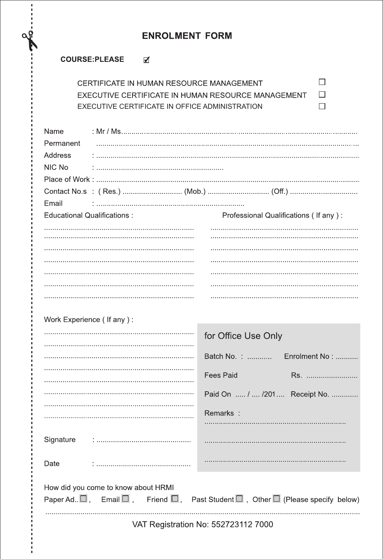#### **ENROLMENT FORM**

#### COURSE:PLEASE Ø

| CERTIFICATE IN HUMAN RESOURCE MANAGEMENT           |  |
|----------------------------------------------------|--|
| EXECUTIVE CERTIFICATE IN HUMAN RESOURCE MANAGEMENT |  |
| EXECUTIVE CERTIFICATE IN OFFICE ADMINISTRATION     |  |

| Name<br>Permanent<br>Address<br>NIC No                                                                                                                           |                                          |  |  |
|------------------------------------------------------------------------------------------------------------------------------------------------------------------|------------------------------------------|--|--|
|                                                                                                                                                                  |                                          |  |  |
| Email                                                                                                                                                            |                                          |  |  |
| <b>Educational Qualifications:</b>                                                                                                                               | Professional Qualifications ( If any ) : |  |  |
|                                                                                                                                                                  |                                          |  |  |
|                                                                                                                                                                  |                                          |  |  |
| Work Experience (If any):                                                                                                                                        |                                          |  |  |
|                                                                                                                                                                  | for Office Use Only                      |  |  |
|                                                                                                                                                                  | Batch No. :<br>Enrolment No:             |  |  |
|                                                                                                                                                                  | <b>Fees Paid</b><br>Rs.                  |  |  |
|                                                                                                                                                                  | Paid On  /  /201  Receipt No.            |  |  |
|                                                                                                                                                                  | Remarks:                                 |  |  |
| Signature                                                                                                                                                        |                                          |  |  |
| Date                                                                                                                                                             |                                          |  |  |
| How did you come to know about HRMI<br>Paper Ad $\square$ , Email $\square$ , Friend $\square$ , Past Student $\square$ , Other $\square$ (Please specify below) |                                          |  |  |
| VAT Registration No: 552723112 7000                                                                                                                              |                                          |  |  |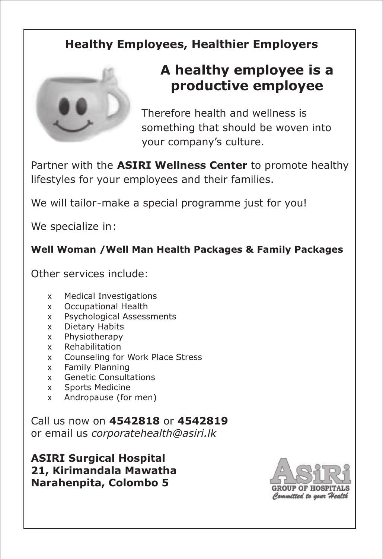# **Healthy Employees, Healthier Employers**



# **A healthy employee is a productive employee**

Therefore health and wellness is something that should be woven into your company's culture.

Partner with the **ASIRI Wellness Center** to promote healthy lifestyles for your employees and their families.

We will tailor-make a special programme just for you!

We specialize in:

#### **Well Woman /Well Man Health Packages & Family Packages**

Other services include:

- x Medical Investigations
- x Occupational Health
- x Psychological Assessments
- x Dietary Habits
- x Physiotherapy
- x Rehabilitation
- x Counseling for Work Place Stress
- x Family Planning
- x Genetic Consultations
- x Sports Medicine
- x Andropause (for men)

Call us now on **4542818** or **4542819** or email us *corporatehealth@asiri.lk*

**ASIRI Surgical Hospital 21, Kirimandala Mawatha Narahenpita, Colombo 5**